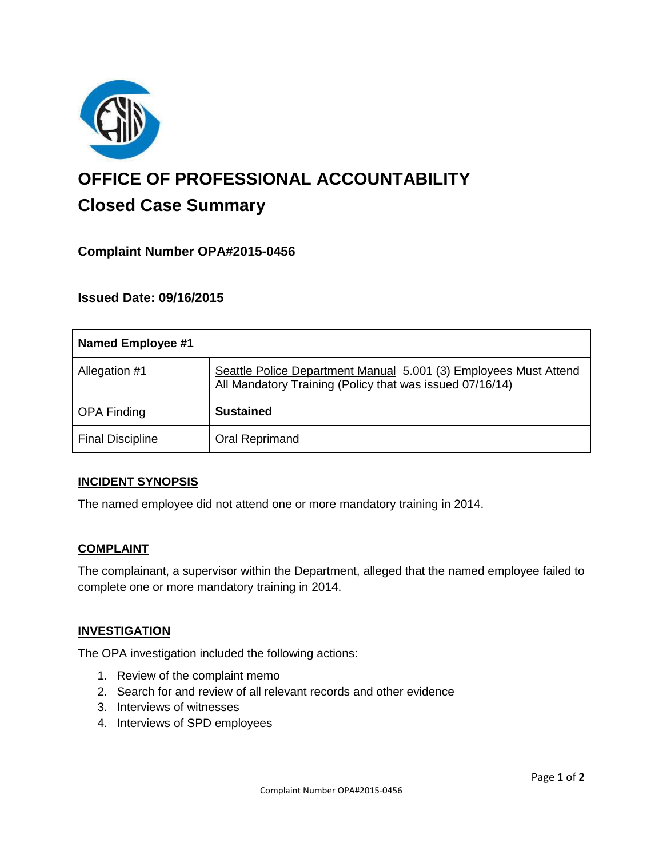

# **OFFICE OF PROFESSIONAL ACCOUNTABILITY Closed Case Summary**

# **Complaint Number OPA#2015-0456**

## **Issued Date: 09/16/2015**

| <b>Named Employee #1</b> |                                                                                                                              |
|--------------------------|------------------------------------------------------------------------------------------------------------------------------|
| Allegation #1            | Seattle Police Department Manual 5.001 (3) Employees Must Attend<br>All Mandatory Training (Policy that was issued 07/16/14) |
| <b>OPA Finding</b>       | <b>Sustained</b>                                                                                                             |
| <b>Final Discipline</b>  | Oral Reprimand                                                                                                               |

#### **INCIDENT SYNOPSIS**

The named employee did not attend one or more mandatory training in 2014.

#### **COMPLAINT**

The complainant, a supervisor within the Department, alleged that the named employee failed to complete one or more mandatory training in 2014.

#### **INVESTIGATION**

The OPA investigation included the following actions:

- 1. Review of the complaint memo
- 2. Search for and review of all relevant records and other evidence
- 3. Interviews of witnesses
- 4. Interviews of SPD employees